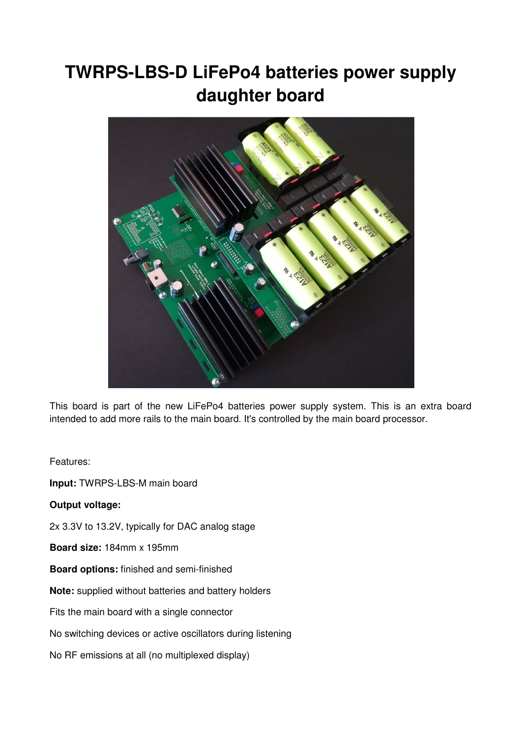# **TWRPS-LBS-D LiFePo4 batteries power supply daughter board**



This board is part of the new LiFePo4 batteries power supply system. This is an extra board intended to add more rails to the main board. It's controlled by the main board processor.

Features:

**Input:** TWRPS-LBS-M main board

**Output voltage:**

2x 3.3V to 13.2V, typically for DAC analog stage

**Board size:** 184mm x 195mm

**Board options:** finished and semi-finished

**Note:** supplied without batteries and battery holders

Fits the main board with a single connector

No switching devices or active oscillators during listening

No RF emissions at all (no multiplexed display)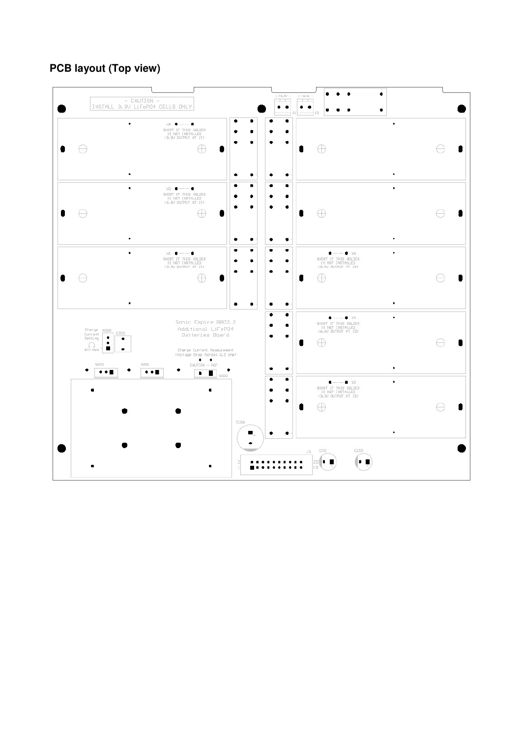# **PCB layout (Top view)**

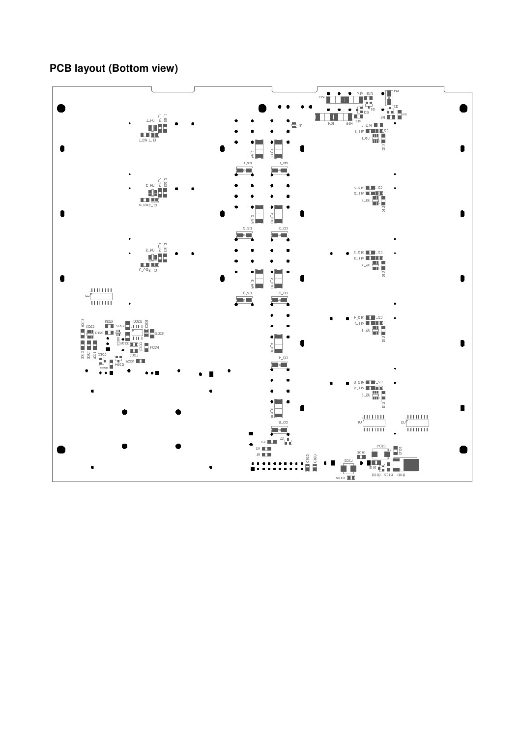# **PCB layout (Bottom view)**

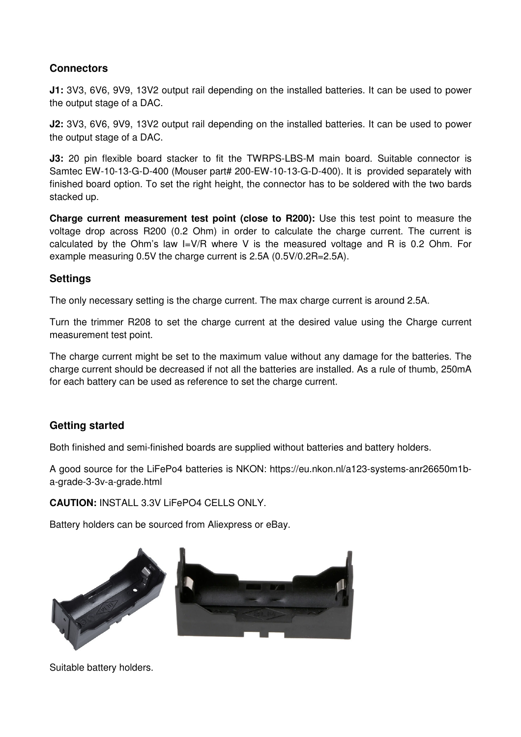### **Connectors**

**J1:** 3V3, 6V6, 9V9, 13V2 output rail depending on the installed batteries. It can be used to power the output stage of a DAC.

**J2:** 3V3, 6V6, 9V9, 13V2 output rail depending on the installed batteries. It can be used to power the output stage of a DAC.

**J3:** 20 pin flexible board stacker to fit the TWRPS-LBS-M main board. Suitable connector is Samtec EW-10-13-G-D-400 (Mouser part# 200-EW-10-13-G-D-400). It is provided separately with finished board option. To set the right height, the connector has to be soldered with the two bards stacked up.

**Charge current measurement test point (close to R200):** Use this test point to measure the voltage drop across R200 (0.2 Ohm) in order to calculate the charge current. The current is calculated by the Ohm's law I=V/R where V is the measured voltage and R is 0.2 Ohm. For example measuring 0.5V the charge current is 2.5A (0.5V/0.2R=2.5A).

#### **Settings**

The only necessary setting is the charge current. The max charge current is around 2.5A.

Turn the trimmer R208 to set the charge current at the desired value using the Charge current measurement test point.

The charge current might be set to the maximum value without any damage for the batteries. The charge current should be decreased if not all the batteries are installed. As a rule of thumb, 250mA for each battery can be used as reference to set the charge current.

#### **Getting started**

Both finished and semi-finished boards are supplied without batteries and battery holders.

A good source for the LiFePo4 batteries is NKON: https://eu.nkon.nl/a123-systems-anr26650m1ba-grade-3-3v-a-grade.html

**CAUTION:** INSTALL 3.3V LiFePO4 CELLS ONLY.

Battery holders can be sourced from Aliexpress or eBay.



Suitable battery holders.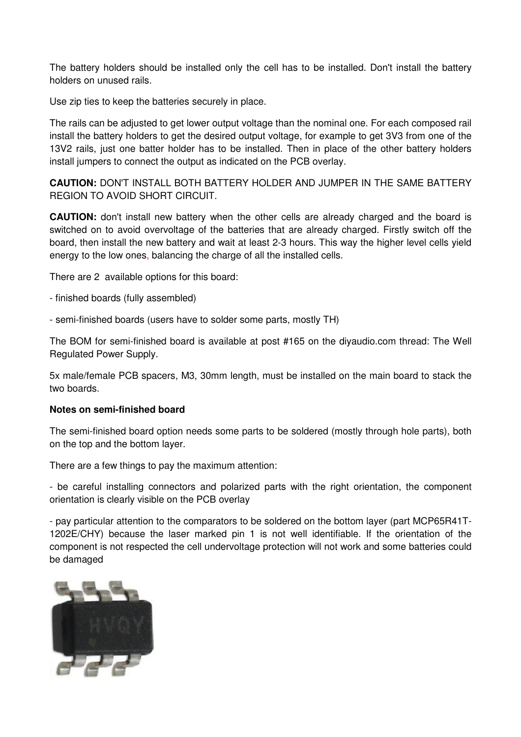The battery holders should be installed only the cell has to be installed. Don't install the battery holders on unused rails.

Use zip ties to keep the batteries securely in place.

The rails can be adjusted to get lower output voltage than the nominal one. For each composed rail install the battery holders to get the desired output voltage, for example to get 3V3 from one of the 13V2 rails, just one batter holder has to be installed. Then in place of the other battery holders install jumpers to connect the output as indicated on the PCB overlay.

**CAUTION:** DON'T INSTALL BOTH BATTERY HOLDER AND JUMPER IN THE SAME BATTERY REGION TO AVOID SHORT CIRCUIT.

**CAUTION:** don't install new battery when the other cells are already charged and the board is switched on to avoid overvoltage of the batteries that are already charged. Firstly switch off the board, then install the new battery and wait at least 2-3 hours. This way the higher level cells yield energy to the low ones, balancing the charge of all the installed cells.

There are 2 available options for this board:

- finished boards (fully assembled)
- semi-finished boards (users have to solder some parts, mostly TH)

The BOM for semi-finished board is available at post #165 on the diyaudio.com thread: The Well Regulated Power Supply.

5x male/female PCB spacers, M3, 30mm length, must be installed on the main board to stack the two boards.

#### **Notes on semi-finished board**

The semi-finished board option needs some parts to be soldered (mostly through hole parts), both on the top and the bottom layer.

There are a few things to pay the maximum attention:

- be careful installing connectors and polarized parts with the right orientation, the component orientation is clearly visible on the PCB overlay

- pay particular attention to the comparators to be soldered on the bottom layer (part MCP65R41T-1202E/CHY) because the laser marked pin 1 is not well identifiable. If the orientation of the component is not respected the cell undervoltage protection will not work and some batteries could be damaged